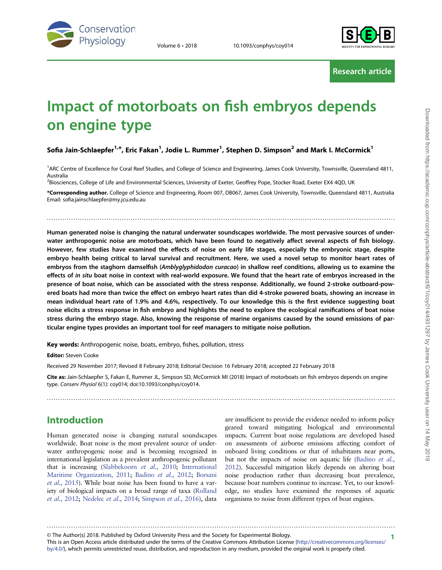



Research article

# Impact of motorboats on fish embryos depends on engine type

#### Sofia Jain-Schlaepfer $^{1,*}$ , Eric Fakan $^1$ , Jodie L. Rummer $^1$ , Stephen D. Simpson $^2$  and Mark I. McCormick $^1$

<sup>1</sup>ARC Centre of Excellence for Coral Reef Studies, and College of Science and Engineering, James Cook University, Townsville, Queensland 4811, Australia

<sup>2</sup>Biosciences, College of Life and Environmental Sciences, University of Exeter, Geoffrey Pope, Stocker Road, Exeter EX4 4QD, UK

\*Corresponding author. College of Science and Engineering, Room 007, DB067, James Cook University, Townsville, Queensland 4811, Australia Email: sofia.jainschlaepfer@my.jcu.edu.au

..............................................................................................................................................................

Human generated noise is changing the natural underwater soundscapes worldwide. The most pervasive sources of underwater anthropogenic noise are motorboats, which have been found to negatively affect several aspects of fish biology. However, few studies have examined the effects of noise on early life stages, especially the embryonic stage, despite embryo health being critical to larval survival and recruitment. Here, we used a novel setup to monitor heart rates of embryos from the staghorn damselfish (Amblyglyphidodon curacao) in shallow reef conditions, allowing us to examine the effects of in situ boat noise in context with real-world exposure. We found that the heart rate of embryos increased in the presence of boat noise, which can be associated with the stress response. Additionally, we found 2-stroke outboard-powered boats had more than twice the effect on embryo heart rates than did 4-stroke powered boats, showing an increase in mean individual heart rate of 1.9% and 4.6%, respectively. To our knowledge this is the first evidence suggesting boat noise elicits a stress response in fish embryo and highlights the need to explore the ecological ramifications of boat noise stress during the embryo stage. Also, knowing the response of marine organisms caused by the sound emissions of particular engine types provides an important tool for reef managers to mitigate noise pollution.

Key words: Anthropogenic noise, boats, embryo, fishes, pollution, stress

Editor: Steven Cooke

Received 29 November 2017; Revised 8 February 2018; Editorial Decision 16 February 2018; accepted 22 February 2018

Cite as: Jain-Schlaepfer S, Fakan E, Rummer JL, Simpson SD, McCormick MI (2018) Impact of motorboats on fish embryos depends on engine type. Conserv Physiol 6(1): coy014; doi:10.1093/conphys/coy014.

..............................................................................................................................................................

# Introduction

Human generated noise is changing natural soundscapes worldwide. Boat noise is the most prevalent source of underwater anthropogenic noise and is becoming recognized in international legislation as a prevalent anthropogenic pollutant that is increasing ([Slabbekoorn](#page-8-0) et al., 2010; [International](#page-7-0) [Maritime Organization, 2011](#page-7-0); [Badino](#page-6-0) et al., 2012; [Borsani](#page-7-0) et al.[, 2015\)](#page-7-0). While boat noise has been found to have a variety of biological impacts on a broad range of taxa ([Rolland](#page-8-0) et al.[, 2012;](#page-8-0) [Nedelec](#page-7-0) et al., 2014; [Simpson](#page-8-0) et al., 2016), data

are insufficient to provide the evidence needed to inform policy geared toward mitigating biological and environmental impacts. Current boat noise regulations are developed based on assessments of airborne emissions affecting comfort of onboard living conditions or that of inhabitants near ports, but not the impacts of noise on aquatic life ([Badino](#page-6-0) et al., [2012](#page-6-0)). Successful mitigation likely depends on altering boat noise production rather than decreasing boat prevalence, because boat numbers continue to increase. Yet, to our knowledge, no studies have examined the responses of aquatic organisms to noise from different types of boat engines.

1 © The Author(s) 2018. Published by Oxford University Press and the Society for Experimental Biology.

This is an Open Access article distributed under the terms of the Creative Commons Attribution License [\(http://creativecommons.org/licenses/](http://creativecommons.org/licenses/by/4.0/) [by/4.0/](http://creativecommons.org/licenses/by/4.0/)), which permits unrestricted reuse, distribution, and reproduction in any medium, provided the original work is properly cited.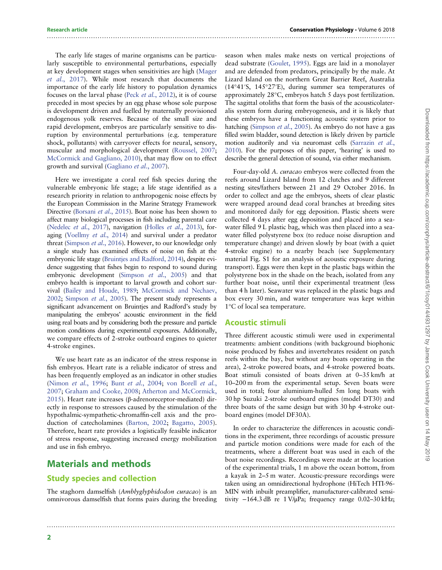The early life stages of marine organisms can be particularly susceptible to environmental perturbations, especially at key development stages when sensitivities are high [\(Mager](#page-7-0) et al.[, 2017](#page-7-0)). While most research that documents the importance of the early life history to population dynamics focuses on the larval phase (Peck et al.[, 2012\)](#page-7-0), it is of course preceded in most species by an egg phase whose sole purpose is development driven and fuelled by maternally provisioned endogenous yolk reserves. Because of the small size and rapid development, embryos are particularly sensitive to disruption by environmental perturbations (e.g. temperature shock, pollutants) with carryover effects for neural, sensory, muscular and morphological development [\(Roussel, 2007](#page-8-0); [McCormick and Gagliano, 2010\)](#page-7-0), that may flow on to effect growth and survival [\(Gagliano](#page-7-0) et al., 2007).

Here we investigate a coral reef fish species during the vulnerable embryonic life stage; a life stage identified as a research priority in relation to anthropogenic noise effects by the European Commission in the Marine Strategy Framework Directive [\(Borsani](#page-7-0) et al., 2015). Boat noise has been shown to affect many biological processes in fish including parental care [\(Nedelec](#page-7-0) et al., 2017), navigation (Holles et al.[, 2013](#page-7-0)), foraging ([Voellmy](#page-8-0) et al., 2014) and survival under a predator threat [\(Simpson](#page-8-0) et al., 2016). However, to our knowledge only a single study has examined effects of noise on fish at the embryonic life stage [\(Bruintjes and Radford, 2014](#page-7-0)), despite evidence suggesting that fishes begin to respond to sound during embryonic development ([Simpson](#page-8-0) et al., 2005) and that embryo health is important to larval growth and cohort survival ([Bailey and Houde, 1989](#page-7-0); [McCormick and Nechaev,](#page-7-0) [2002;](#page-7-0) [Simpson](#page-8-0) et al., 2005). The present study represents a significant advancement on Bruintjes and Radford's study by manipulating the embryos' acoustic environment in the field using real boats and by considering both the pressure and particle motion conditions during experimental exposures. Additionally, we compare effects of 2-stroke outboard engines to quieter 4-stroke engines.

We use heart rate as an indicator of the stress response in fish embryos. Heart rate is a reliable indicator of stress and has been frequently employed as an indicator in other studies [\(Nimon](#page-7-0) et al., 1996; Bunt et al.[, 2004](#page-7-0); [von Borell](#page-8-0) et al., [2007](#page-8-0); [Graham and Cooke, 2008](#page-7-0); [Atherton and McCormick,](#page-6-0) [2015](#page-6-0)). Heart rate increases (β-adrenoreceptor-mediated) directly in response to stressors caused by the stimulation of the hypothalmic-sympathetic-chromaffin-cell axis and the production of catecholamines ([Barton, 2002](#page-7-0); [Bagatto, 2005](#page-6-0)). Therefore, heart rate provides a logistically feasible indicator of stress response, suggesting increased energy mobilization and use in fish embryo.

# Materials and methods

## Study species and collection

The staghorn damselfish (Amblyglyphidodon curacao) is an omnivorous damselfish that forms pairs during the breeding

season when males make nests on vertical projections of dead substrate ([Goulet, 1995\)](#page-7-0). Eggs are laid in a monolayer and are defended from predators, principally by the male. At Lizard Island on the northern Great Barrier Reef, Australia (14°41′S, 145°27′E), during summer sea temperatures of approximately 28°C, embryos hatch 5 days post fertilization. The sagittal otoliths that form the basis of the acousticolateralis system form during embryogenesis, and it is likely that these embryos have a functioning acoustic system prior to hatching ([Simpson](#page-8-0) *et al.*, 2005). As embryo do not have a gas filled swim bladder, sound detection is likely driven by particle motion auditorily and via neuromast cells [\(Sarrazin](#page-8-0) et al., [2010](#page-8-0)). For the purposes of this paper, 'hearing' is used to describe the general detection of sound, via either mechanism.

Four-day-old A. curacao embryos were collected from the reefs around Lizard Island from 12 clutches and 9 different nesting sites/fathers between 21 and 29 October 2016. In order to collect and age the embryos, sheets of clear plastic were wrapped around dead coral branches at breeding sites and monitored daily for egg deposition. Plastic sheets were collected 4 days after egg deposition and placed into a seawater filled 9 L plastic bag, which was then placed into a seawater filled polystyrene box (to reduce noise disruption and temperature change) and driven slowly by boat (with a quiet 4-stroke engine) to a nearby beach (see Supplementary material Fig. S1 for an analysis of acoustic exposure during transport). Eggs were then kept in the plastic bags within the polystyrene box in the shade on the beach, isolated from any further boat noise, until their experimental treatment (less than 4 h later). Seawater was replaced in the plastic bags and box every 30 min, and water temperature was kept within 1°C of local sea temperature.

#### Acoustic stimuli

..............................................................................................................................................................

..............................................................................................................................................................

Three different acoustic stimuli were used in experimental treatments: ambient conditions (with background biophonic noise produced by fishes and invertebrates resident on patch reefs within the bay, but without any boats operating in the area), 2-stroke powered boats, and 4-stroke powered boats. Boat stimuli consisted of boats driven at 0–35 km/h at 10–200 m from the experimental setup. Seven boats were used in total; four aluminium-hulled 5m long boats with 30 hp Suzuki 2-stroke outboard engines (model DT30) and three boats of the same design but with 30 hp 4-stroke outboard engines (model DF30A).

In order to characterize the differences in acoustic conditions in the experiment, three recordings of acoustic pressure and particle motion conditions were made for each of the treatments, where a different boat was used in each of the boat noise recordings. Recordings were made at the location of the experimental trials, 1 m above the ocean bottom, from a kayak in 2–5 m water. Acoustic-pressure recordings were taken using an omnidirectional hydrophone (HiTech HTI-96- MIN with inbuilt preamplifier, manufacturer-calibrated sensitivity  $-164.3$  dB re 1 V/ $\mu$ Pa; frequency range 0.02–30 kHz;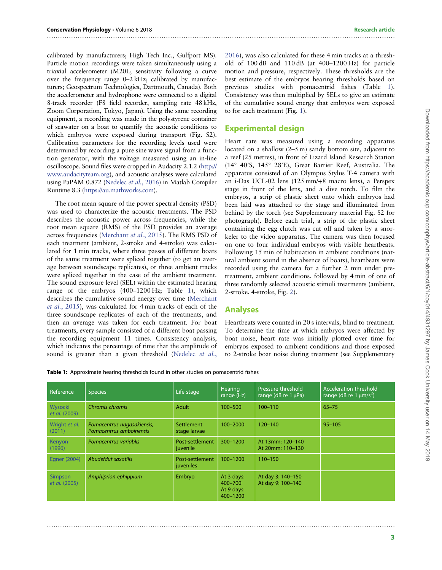calibrated by manufacturers; High Tech Inc., Gulfport MS). Particle motion recordings were taken simultaneously using a triaxial accelerometer (M20L; sensitivity following a curve over the frequency range 0–2 kHz; calibrated by manufacturers; Geospectrum Technologies, Dartmouth, Canada). Both the accelerometer and hydrophone were connected to a digital 8-track recorder (F8 field recorder, sampling rate 48 kHz, Zoom Corporation, Tokyo, Japan). Using the same recording equipment, a recording was made in the polystyrene container of seawater on a boat to quantify the acoustic conditions to which embryos were exposed during transport (Fig. S2). Calibration parameters for the recording levels used were determined by recording a pure sine wave signal from a function generator, with the voltage measured using an in-line oscilloscope. Sound files were cropped in Audacity 2.1.2 [\(http://](http://www.audacityteam.org) [www.audacityteam.org\)](http://www.audacityteam.org), and acoustic analyses were calculated using PaPAM 0.872 [\(Nedelec](#page-7-0) et al., 2016) in Matlab Compiler Runtime 8.3 ([https://au.mathworks.com\)](https://au.mathworks.com).

The root mean square of the power spectral density (PSD) was used to characterize the acoustic treatments. The PSD describes the acoustic power across frequencies, while the root mean square (RMS) of the PSD provides an average across frequencies [\(Merchant](#page-7-0) et al., 2015). The RMS PSD of each treatment (ambient, 2-stroke and 4-stroke) was calculated for 1 min tracks, where three passes of different boats of the same treatment were spliced together (to get an average between soundscape replicates), or three ambient tracks were spliced together in the case of the ambient treatment. The sound exposure level (SEL) within the estimated hearing range of the embryos (400–1200 Hz; Table 1), which describes the cumulative sound energy over time ([Merchant](#page-7-0) et al.[, 2015](#page-7-0)), was calculated for 4 min tracks of each of the three soundscape replicates of each of the treatments, and then an average was taken for each treatment. For boat treatments, every sample consisted of a different boat passing the recording equipment 11 times. Consistency analysis, which indicates the percentage of time that the amplitude of sound is greater than a given threshold [\(Nedelec](#page-7-0) et al.,

[2016\)](#page-7-0), was also calculated for these 4 min tracks at a threshold of 100 dB and 110 dB (at 400–1200 Hz) for particle motion and pressure, respectively. These thresholds are the best estimate of the embryos hearing thresholds based on previous studies with pomacentrid fishes (Table 1). Consistency was then multiplied by SELs to give an estimate of the cumulative sound energy that embryos were exposed to for each treatment (Fig. [1](#page-3-0)).

#### Experimental design

<span id="page-2-0"></span>..............................................................................................................................................................

Heart rate was measured using a recording apparatus located on a shallow (2–5 m) sandy bottom site, adjacent to a reef (25 metres), in front of Lizard Island Research Station (14° 40′S, 145° 28′E), Great Barrier Reef, Australia. The apparatus consisted of an Olympus Stylus T-4 camera with an i-Das UCL-02 lens (125 mm/+8 macro lens), a Perspex stage in front of the lens, and a dive torch. To film the embryos, a strip of plastic sheet onto which embryos had been laid was attached to the stage and illuminated from behind by the torch (see Supplementary material Fig. S2 for photograph). Before each trial, a strip of the plastic sheet containing the egg clutch was cut off and taken by a snorkeler to the video apparatus. The camera was then focused on one to four individual embryos with visible heartbeats. Following 15 min of habituation in ambient conditions (natural ambient sound in the absence of boats), heartbeats were recorded using the camera for a further 2 min under pretreatment, ambient conditions, followed by 4 min of one of three randomly selected acoustic stimuli treatments (ambient, 2-stroke, 4-stroke, Fig. [2\)](#page-3-0).

#### Analyses

Heartbeats were counted in 20 s intervals, blind to treatment. To determine the time at which embryos were affected by boat noise, heart rate was initially plotted over time for embryos exposed to ambient conditions and those exposed to 2-stroke boat noise during treatment (see Supplementary

Table 1: Approximate hearing thresholds found in other studies on pomacentrid fishes

| Reference                | <b>Species</b>                                        | Life stage                   | <b>Hearing</b><br>range (Hz)                    | Pressure threshold<br>range (dB re $1 \mu Pa$ ) | Acceleration threshold<br>range (dB re 1 $\mu$ m/s <sup>2</sup> ) |
|--------------------------|-------------------------------------------------------|------------------------------|-------------------------------------------------|-------------------------------------------------|-------------------------------------------------------------------|
| Wysocki<br>et al. (2009) | Chromis chromis                                       | Adult                        | $100 - 500$                                     | $100 - 110$                                     | $65 - 75$                                                         |
| Wright et al.<br>(2011)  | Pomacentrus nagasakiensis,<br>Pomacentrus amboinensis | Settlement<br>stage larvae   | 100-2000                                        | $120 - 140$                                     | $95 - 105$                                                        |
| Kenyon<br>(1996)         | Pomacentrus variablis                                 | Post-settlement<br>juvenile  | 300-1200                                        | At 13mm: 120-140<br>At 20mm: 110-130            |                                                                   |
| Egner (2004)             | Abudefduf saxatilis                                   | Post-settlement<br>juveniles | $100 - 1200$                                    | $110 - 150$                                     |                                                                   |
| Simpson<br>et al. (2005) | Amphiprion ephippium                                  | Embryo                       | At 3 days:<br>400-700<br>At 9 days:<br>400-1200 | At day 3: 140-150<br>At day 9: 100-140          |                                                                   |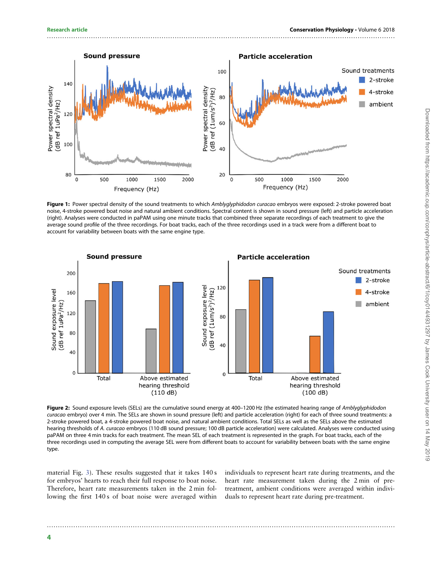<span id="page-3-0"></span>

..............................................................................................................................................................

Figure 1: Power spectral density of the sound treatments to which Amblyglyphidodon curacao embryos were exposed: 2-stroke powered boat noise, 4-stroke powered boat noise and natural ambient conditions. Spectral content is shown in sound pressure (left) and particle acceleration (right). Analyses were conducted in paPAM using one minute tracks that combined three separate recordings of each treatment to give the average sound profile of the three recordings. For boat tracks, each of the three recordings used in a track were from a different boat to account for variability between boats with the same engine type.



Figure 2: Sound exposure levels (SELs) are the cumulative sound energy at 400-1200 Hz (the estimated hearing range of Amblyglyphidodon curacao embryo) over 4 min. The SELs are shown in sound pressure (left) and particle acceleration (right) for each of three sound treatments: a 2-stroke powered boat, a 4-stroke powered boat noise, and natural ambient conditions. Total SELs as well as the SELs above the estimated hearing thresholds of A. curacao embryos (110 dB sound pressure; 100 dB particle acceleration) were calculated. Analyses were conducted using paPAM on three 4 min tracks for each treatment. The mean SEL of each treatment is represented in the graph. For boat tracks, each of the three recordings used in computing the average SEL were from different boats to account for variability between boats with the same engine type.

..............................................................................................................................................................

material Fig. [3\)](#page-4-0). These results suggested that it takes 140 s for embryos' hearts to reach their full response to boat noise. Therefore, heart rate measurements taken in the 2 min following the first 140 s of boat noise were averaged within

individuals to represent heart rate during treatments, and the heart rate measurement taken during the 2 min of pretreatment, ambient conditions were averaged within individuals to represent heart rate during pre-treatment.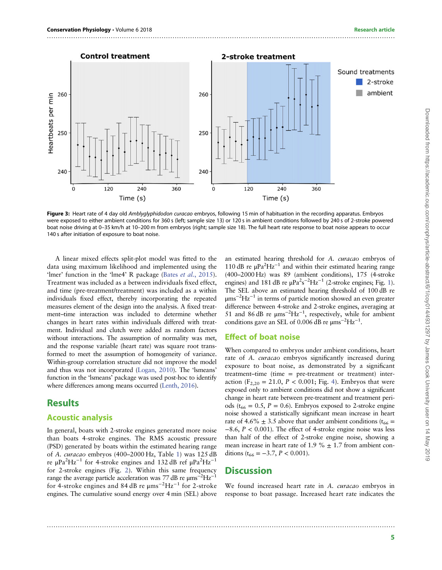<span id="page-4-0"></span>

..............................................................................................................................................................

Figure 3: Heart rate of 4 day old Amblyglyphidodon curacao embryos, following 15 min of habituation in the recording apparatus. Embryos were exposed to either ambient conditions for 360 s (left; sample size 13) or 120 s in ambient conditions followed by 240 s of 2-stroke powered boat noise driving at 0–35 km/h at 10–200 m from embryos (right; sample size 18). The full heart rate response to boat noise appears to occur 140 s after initiation of exposure to boat noise.

A linear mixed effects split-plot model was fitted to the data using maximum likelihood and implemented using the 'lmer' function in the 'lme4' R package (Bates et al.[, 2015](#page-7-0)). Treatment was included as a between individuals fixed effect, and time (pre-treatment/treatment) was included as a within individuals fixed effect, thereby incorporating the repeated measures element of the design into the analysis. A fixed treatment–time interaction was included to determine whether changes in heart rates within individuals differed with treatment. Individual and clutch were added as random factors without interactions. The assumption of normality was met, and the response variable (heart rate) was square root transformed to meet the assumption of homogeneity of variance. Within-group correlation structure did not improve the model and thus was not incorporated ([Logan, 2010\)](#page-7-0). The 'lsmeans' function in the 'lsmeans' package was used post-hoc to identify where differences among means occurred [\(Lenth, 2016\)](#page-7-0).

## **Results**

#### Acoustic analysis

In general, boats with 2-stroke engines generated more noise than boats 4-stroke engines. The RMS acoustic pressure (PSD) generated by boats within the estimated hearing range of A. curacao embryos (400–2000 Hz, Table [1](#page-2-0)) was 125 dB re μPa<sup>2</sup>Hz<sup>-1</sup> for 4-stroke engines and 132 dB ref μPa<sup>2</sup>Hz<sup>-1</sup> for 2-stroke engines (Fig. [2](#page-3-0)). Within this same frequency range the average particle acceleration was 77 dB re  $\mu$ ms<sup>-2</sup>Hz<sup>-1</sup> for 4-stroke engines and 84 dB re μms<sup>-2</sup>Hz<sup>-1</sup> for 2-stroke engines. The cumulative sound energy over 4 min (SEL) above an estimated hearing threshold for A. curacao embryos of 110 dB re  $\mu$ Pa<sup>2</sup>Hz<sup>-1</sup> and within their estimated hearing range (400–2000 Hz) was 89 (ambient conditions), 175 (4-stroke engines) and 181 dB re  $\mu$ Pa<sup>2</sup>s<sup>-2</sup>Hz<sup>-1</sup> (2-stroke engines; Fig. [1\)](#page-3-0). The SEL above an estimated hearing threshold of 100 dB re μms−<sup>2</sup> Hz−<sup>1</sup> in terms of particle motion showed an even greater difference between 4-stroke and 2-stroke engines, averaging at 51 and 86 dB re  $\mu$ ms<sup>-2</sup>Hz<sup>-1</sup>, respectively, while for ambient conditions gave an SEL of 0.006 dB re  $\mu$ ms<sup>-2</sup>Hz<sup>-1</sup>.

#### Effect of boat noise

When compared to embryos under ambient conditions, heart rate of A. curacao embryos significantly increased during exposure to boat noise, as demonstrated by a significant treatment–time (time = pre-treatment or treatment) interaction (F<sub>2,20</sub> = 21.0, *P* < 0.001; Fig. [4](#page-5-0)). Embryos that were exposed only to ambient conditions did not show a significant change in heart rate between pre-treatment and treatment periods ( $t_{66} = 0.5$ ,  $P = 0.6$ ). Embryos exposed to 2-stroke engine noise showed a statistically significant mean increase in heart rate of 4.6%  $\pm$  3.5 above that under ambient conditions (t<sub>66</sub> =  $-8.6$ ,  $P < 0.001$ ). The effect of 4-stroke engine noise was less than half of the effect of 2-stroke engine noise, showing a mean increase in heart rate of 1.9  $% \pm 1.7$  from ambient conditions ( $t_{66} = -3.7$ ,  $P < 0.001$ ).

## **Discussion**

..............................................................................................................................................................

We found increased heart rate in A. curacao embryos in response to boat passage. Increased heart rate indicates the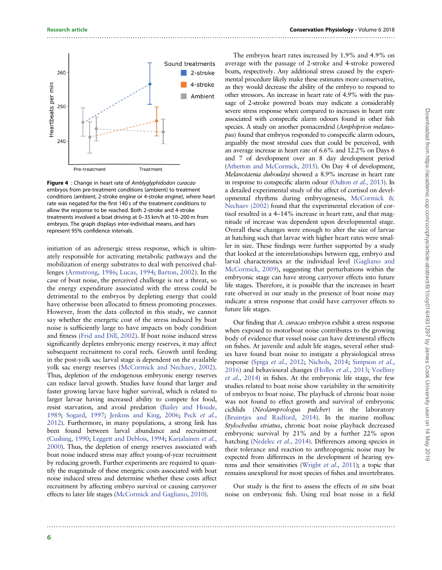<span id="page-5-0"></span>

Figure 4 : Change in heart rate of Amblyglyphidodon curacao embryos from pre-treatment conditions (ambient) to treatment conditions (ambient, 2-stroke engine or 4-stroke engine), where heart rate was negated for the first 140 s of the treatment conditions to allow the response to be reached. Both 2-stroke and 4-stroke treatments involved a boat driving at 0–35 km/h at 10–200 m from embryos. The graph displays inter-individual means, and bars represent 95% confidence intervals.

initiation of an adrenergic stress response, which is ultimately responsible for activating metabolic pathways and the mobilization of energy substrates to deal with perceived challenges [\(Armstrong, 1986;](#page-6-0) [Lucas, 1994](#page-7-0); [Barton, 2002\)](#page-7-0). In the case of boat noise, the perceived challenge is not a threat, so the energy expenditure associated with the stress could be detrimental to the embryos by depleting energy that could have otherwise been allocated to fitness promoting processes. However, from the data collected in this study, we cannot say whether the energetic cost of the stress induced by boat noise is sufficiently large to have impacts on body condition and fitness ([Frid and Dill, 2002](#page-7-0)). If boat noise induced stress significantly depletes embryonic energy reserves, it may affect subsequent recruitment to coral reefs. Growth until feeding in the post-yolk sac larval stage is dependent on the available yolk sac energy reserves [\(McCormick and Nechaev, 2002](#page-7-0)). Thus, depletion of the endogenous embryonic energy reserves can reduce larval growth. Studies have found that larger and faster growing larvae have higher survival, which is related to larger larvae having increased ability to compete for food, resist starvation, and avoid predation ([Bailey and Houde,](#page-7-0) [1989;](#page-7-0) [Sogard, 1997;](#page-8-0) [Jenkins and King, 2006;](#page-7-0) Peck [et al.](#page-7-0), [2012\)](#page-7-0). Furthermore, in many populations, a strong link has been found between larval abundance and recruitment [\(Cushing, 1990](#page-7-0); [Leggett and Deblois, 1994](#page-7-0); [Karjalainen](#page-7-0) et al., [2000\)](#page-7-0). Thus, the depletion of energy reserves associated with boat noise induced stress may affect young-of-year recruitment by reducing growth. Further experiments are required to quantify the magnitude of these energetic costs associated with boat noise induced stress and determine whether these costs affect recruitment by affecting embryo survival or causing carryover effects to later life stages ([McCormick and Gagliano, 2010\)](#page-7-0).

The embryos heart rates increased by 1.9% and 4.9% on average with the passage of 2-stroke and 4-stroke powered boats, respectively. Any additional stress caused by the experimental procedure likely make these estimates more conservative, as they would decrease the ability of the embryo to respond to other stressors. An increase in heart rate of 4.9% with the passage of 2-stroke powered boats may indicate a considerably severe stress response when compared to increases in heart rate associated with conspecific alarm odours found in other fish species. A study on another pomacendrid (Amphiprion melanopus) found that embryos responded to conspecific alarm odours, arguably the most stressful cues that could be perceived, with an average increase in heart rate of 6.6% and 12.2% on Days 6 and 7 of development over an 8 day development period [\(Atherton and McCormick, 2015\)](#page-6-0). On Day 4 of development, Melanotaenia duboulayi showed a 8.9% increase in heart rate in response to conspecific alarm odour [\(Oulton](#page-7-0) et al., 2013). In a detailed experimental study of the affect of cortisol on developmental rhythms during embryogenesis, [McCormick &](#page-7-0) [Nechaev \(2002\)](#page-7-0) found that the experimental elevation of cortisol resulted in a 4–14% increase in heart rate, and that magnitude of increase was dependent upon developmental stage. Overall these changes were enough to alter the size of larvae at hatching such that larvae with higher heart rates were smaller in size. These findings were further supported by a study that looked at the interrelationships between egg, embryo and larval characteristics at the individual level [\(Gagliano and](#page-7-0) [McCormick, 2009](#page-7-0)), suggesting that perturbations within the embryonic stage can have strong carryover effects into future life stages. Therefore, it is possible that the increases in heart rate observed in our study in the presence of boat noise may indicate a stress response that could have carryover effects to future life stages.

Our finding that A. curacao embryos exhibit a stress response when exposed to motorboat noise contributes to the growing body of evidence that vessel noise can have detrimental effects on fishes. At juvenile and adult life stages, several other studies have found boat noise to instigate a physiological stress response (Spiga et al.[, 2012](#page-8-0); [Nichols, 2014;](#page-7-0) [Simpson](#page-8-0) et al., [2016](#page-8-0)) and behavioural changes (Holles et al.[, 2013;](#page-7-0) [Voellmy](#page-8-0) et al.[, 2014\)](#page-8-0) in fishes. At the embryonic life stage, the few studies related to boat noise show variability in the sensitivity of embryos to boat noise. The playback of chronic boat noise was not found to effect growth and survival of embryonic cichlids (Neolamprologus pulcher) in the laboratory ([Bruintjes and Radford, 2014](#page-7-0)). In the marine mollusc Stylocheilus striatus, chronic boat noise playback decreased embryonic survival by 21% and by a further 22% upon hatching ([Nedelec](#page-7-0) et al., 2014). Differences among species in their tolerance and reaction to anthropogenic noise may be expected from differences in the development of hearing systems and their sensitivities ([Wright](#page-8-0) et al., 2011); a topic that remains unexplored for most species of fishes and invertebrates.

Our study is the first to assess the effects of in situ boat noise on embryonic fish. Using real boat noise in a field

..............................................................................................................................................................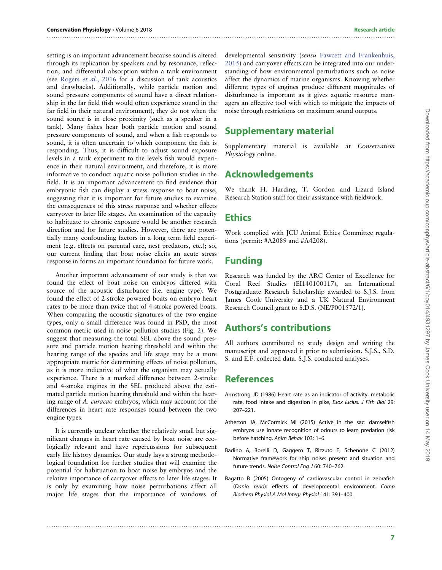#### setting is an important advancement because sound is altered through its replication by speakers and by resonance, reflection, and differential absorption within a tank environment (see [Rogers](#page-7-0) et al., 2016 for a discussion of tank acoustics and drawbacks). Additionally, while particle motion and sound pressure components of sound have a direct relationship in the far field (fish would often experience sound in the far field in their natural environment), they do not when the sound source is in close proximity (such as a speaker in a tank). Many fishes hear both particle motion and sound pressure components of sound, and when a fish responds to sound, it is often uncertain to which component the fish is responding. Thus, it is difficult to adjust sound exposure levels in a tank experiment to the levels fish would experience in their natural environment, and therefore, it is more informative to conduct aquatic noise pollution studies in the field. It is an important advancement to find evidence that embryonic fish can display a stress response to boat noise, suggesting that it is important for future studies to examine the consequences of this stress response and whether effects carryover to later life stages. An examination of the capacity to habituate to chronic exposure would be another research direction and for future studies. However, there are potentially many confounding factors in a long term field experiment (e.g. effects on parental care, nest predators, etc.); so, our current finding that boat noise elicits an acute stress

Another important advancement of our study is that we found the effect of boat noise on embryos differed with source of the acoustic disturbance (i.e. engine type). We found the effect of 2-stroke powered boats on embryo heart rates to be more than twice that of 4-stroke powered boats. When comparing the acoustic signatures of the two engine types, only a small difference was found in PSD, the most common metric used in noise pollution studies (Fig. [2\)](#page-3-0). We suggest that measuring the total SEL above the sound pressure and particle motion hearing threshold and within the hearing range of the species and life stage may be a more appropriate metric for determining effects of noise pollution, as it is more indicative of what the organism may actually experience. There is a marked difference between 2-stroke and 4-stroke engines in the SEL produced above the estimated particle motion hearing threshold and within the hearing range of A. curacao embryos, which may account for the differences in heart rate responses found between the two engine types.

response in forms an important foundation for future work.

It is currently unclear whether the relatively small but significant changes in heart rate caused by boat noise are ecologically relevant and have repercussions for subsequent early life history dynamics. Our study lays a strong methodological foundation for further studies that will examine the potential for habituation to boat noise by embryos and the relative importance of carryover effects to later life stages. It is only by examining how noise perturbations affect all major life stages that the importance of windows of

developmental sensitivity (sensu [Fawcett and Frankenhuis,](#page-7-0) [2015\)](#page-7-0) and carryover effects can be integrated into our understanding of how environmental perturbations such as noise affect the dynamics of marine organisms. Knowing whether different types of engines produce different magnitudes of disturbance is important as it gives aquatic resource managers an effective tool with which to mitigate the impacts of noise through restrictions on maximum sound outputs.

# Supplementary material

Supplementary material is available at Conservation Physiology online.

# Acknowledgements

We thank H. Harding, T. Gordon and Lizard Island Research Station staff for their assistance with fieldwork.

# **Ethics**

<span id="page-6-0"></span>..............................................................................................................................................................

Work complied with JCU Animal Ethics Committee regulations (permit: #A2089 and #A4208).

# Funding

Research was funded by the ARC Center of Excellence for Coral Reef Studies (EI140100117), an International Postgraduate Research Scholarship awarded to S.J.S. from James Cook University and a UK Natural Environment Research Council grant to S.D.S. (NE/P001572/1).

## Authors's contributions

All authors contributed to study design and writing the manuscript and approved it prior to submission. S.J.S., S.D. S. and E.F. collected data. S.J.S. conducted analyses.

## References

- Armstrong JD (1986) Heart rate as an indicator of activity, metabolic rate, food intake and digestion in pike, Esox lucius. J Fish Biol 29: 207–221.
- Atherton JA, McCormick MI (2015) Active in the sac: damselfish embryos use innate recognition of odours to learn predation risk before hatching. Anim Behav 103: 1–6.
- Badino A, Borelli D, Gaggero T, Rizzuto E, Schenone C (2012) Normative framework for ship noise: present and situation and future trends. Noise Control Eng J 60: 740–762.
- Bagatto B (2005) Ontogeny of cardiovascular control in zebrafish (Danio rerio): effects of developmental environment. Comp Biochem Physiol A Mol Integr Physiol 141: 391–400.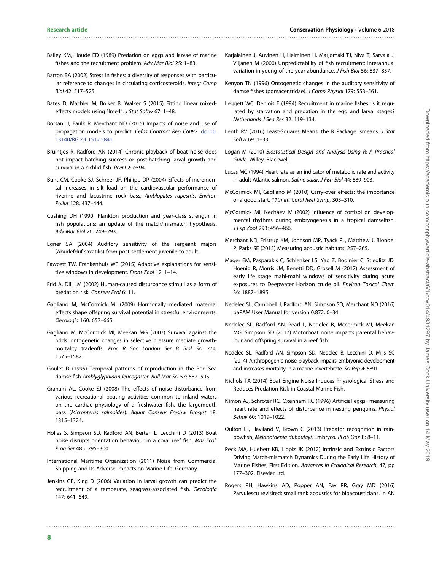Bailey KM, Houde ED (1989) Predation on eggs and larvae of marine fishes and the recruitment problem. Adv Mar Biol 25: 1–83.

<span id="page-7-0"></span>..............................................................................................................................................................

- Barton BA (2002) Stress in fishes: a diversity of responses with particular reference to changes in circulating corticosteroids. Integr Comp Biol 42: 517–525.
- Bates D, Machler M, Bolker B, Walker S (2015) Fitting linear mixedeffects models using "lme4". J Stat Softw 67: 1–48.
- Borsani J, Faulk R, Merchant ND (2015) Impacts of noise and use of propagation models to predict. Cefas Contract Rep C6082. [doi:10.](http://dx.doi.org/10.13140/RG.2.1.1512.5841) [13140/RG.2.1.1512.5841](http://dx.doi.org/10.13140/RG.2.1.1512.5841)
- Bruinties R, Radford AN (2014) Chronic playback of boat noise does not impact hatching success or post-hatching larval growth and survival in a cichlid fish. PeerJ 2: e594.
- Bunt CM, Cooke SJ, Schreer JF, Philipp DP (2004) Effects of incremental increases in silt load on the cardiovascular performance of riverine and lacustrine rock bass, Ambloplites rupestris. Environ Pollut 128: 437–444.
- Cushing DH (1990) Plankton production and year-class strength in fish populations: an update of the match/mismatch hypothesis. Adv Mar Biol 26: 249–293.
- Egner SA (2004) Auditory sensitivity of the sergeant majors (Abudefduf saxatilis) from post-settlement juvenile to adult.
- Fawcett TW, Frankenhuis WE (2015) Adaptive explanations for sensitive windows in development. Front Zool 12: 1–14.
- Frid A, Dill LM (2002) Human-caused disturbance stimuli as a form of predation risk. Conserv Ecol 6: 11.
- Gagliano M, McCormick MI (2009) Hormonally mediated maternal effects shape offspring survival potential in stressful environments. Oecologia 160: 657–665.
- Gagliano M, McCormick MI, Meekan MG (2007) Survival against the odds: ontogenetic changes in selective pressure mediate growthmortality tradeoffs. Proc R Soc London Ser B Biol Sci 274: 1575–1582.
- Goulet D (1995) Temporal patterns of reproduction in the Red Sea damselfish Amblyglyphidon leucogaster. Bull Mar Sci 57: 582–595.
- Graham AL, Cooke SJ (2008) The effects of noise disturbance from various recreational boating activities common to inland waters on the cardiac physiology of a freshwater fish, the largemouth bass (Micropterus salmoides). Aquat Conserv Freshw Ecosyst 18: 1315–1324.
- Holles S, Simpson SD, Radford AN, Berten L, Lecchini D (2013) Boat noise disrupts orientation behaviour in a coral reef fish. Mar Ecol: Prog Ser 485: 295–300.
- International Maritime Organization (2011) Noise from Commercial Shipping and Its Adverse Impacts on Marine Life. Germany.
- Jenkins GP, King D (2006) Variation in larval growth can predict the recruitment of a temperate, seagrass-associated fish. Oecologia 147: 641–649.

- Karjalainen J, Auvinen H, Helminen H, Marjomaki TJ, Niva T, Sarvala J, Viljanen M (2000) Unpredictability of fish recruitment: interannual variation in young-of-the-year abundance. J Fish Biol 56: 837–857.
- Kenyon TN (1996) Ontogenetic changes in the auditory sensitivity of damselfishes (pomacentridae). J Comp Physiol 179: 553–561.
- Leggett WC, Deblois E (1994) Recruitment in marine fishes: is it regulated by starvation and predation in the egg and larval stages? Netherlands J Sea Res 32: 119–134.
- Lenth RV (2016) Least-Squares Means: the R Package lsmeans. J Stat Softw 69: 1–33.
- Logan M (2010) Biostatistical Design and Analysis Using R: A Practical Guide. Willey, Blackwell.
- Lucas MC (1994) Heart rate as an indicator of metabolic rate and activity in adult Atlantic salmon, Salmo salar. J Fish Biol 44: 889–903.
- McCormick MI, Gagliano M (2010) Carry-over effects: the importance of a good start. 11th Int Coral Reef Symp, 305–310.
- McCormick MI, Nechaev IV (2002) Influence of cortisol on developmental rhythms during embryogenesis in a tropical damselfish. J Exp Zool 293: 456–466.
- Merchant ND, Fristrup KM, Johnson MP, Tyack PL, Matthew J, Blondel P, Parks SE (2015) Measuring acoustic habitats, 257–265.
- Mager EM, Pasparakis C, Schlenker LS, Yao Z, Bodinier C, Stieglitz JD, Hoenig R, Morris JM, Benetti DD, Grosell M (2017) Assessment of early life stage mahi-mahi windows of sensitivity during acute exposures to Deepwater Horizon crude oil. Environ Toxicol Chem 36: 1887–1895.
- Nedelec SL, Campbell J, Radford AN, Simpson SD, Merchant ND (2016) paPAM User Manual for version 0.872, 0–34.
- Nedelec SL, Radford AN, Pearl L, Nedelec B, Mccormick MI, Meekan MG, Simpson SD (2017) Motorboat noise impacts parental behaviour and offspring survival in a reef fish.
- Nedelec SL, Radford AN, Simpson SD, Nedelec B, Lecchini D, Mills SC (2014) Anthropogenic noise playback impairs embryonic development and increases mortality in a marine invertebrate. Sci Rep 4: 5891.
- Nichols TA (2014) Boat Engine Noise Induces Physiological Stress and Reduces Predation Risk in Coastal Marine Fish.
- Nimon AJ, Schroter RC, Oxenham RC (1996) Artificial eggs : measuring heart rate and effects of disturbance in nesting penguins. Physiol Behav 60: 1019–1022.
- Oulton LJ, Haviland V, Brown C (2013) Predator recognition in rainbowfish, Melanotaenia duboulayi, Embryos. PLoS One 8: 8–11.
- Peck MA, Huebert KB, Llopiz JK (2012) Intrinsic and Extrinsic Factors Driving Match-mismatch Dynamics During the Early Life History of Marine Fishes, First Edition. Advances in Ecological Research, 47, pp 177–302. Elsevier Ltd.
- Rogers PH, Hawkins AD, Popper AN, Fay RR, Gray MD (2016) Parvulescu revisited: small tank acoustics for bioacousticians. In AN